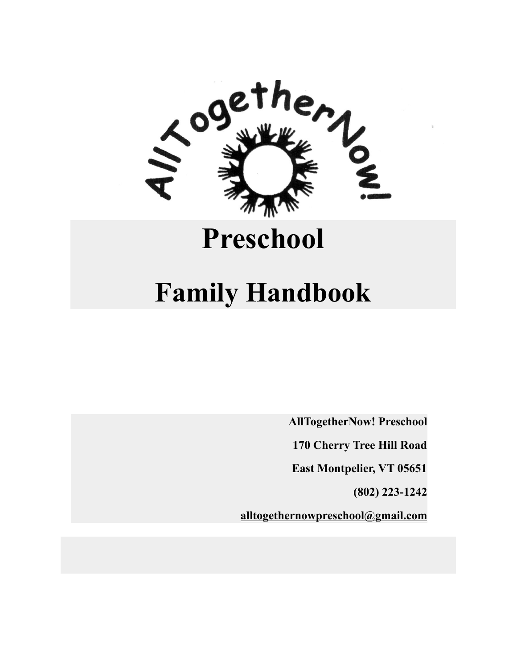

# **[Preschool](http://alltogethernowvt.org/)**

# **Family Handbook**

**AllTogetherNow! Preschool**

**170 Cherry Tree Hill Road**

**East Montpelier, VT 05651**

**(802) 223-1242**

**[alltogethernowpreschool@gmail.com](mailto:alltogethernowpreschool@gmail.com)**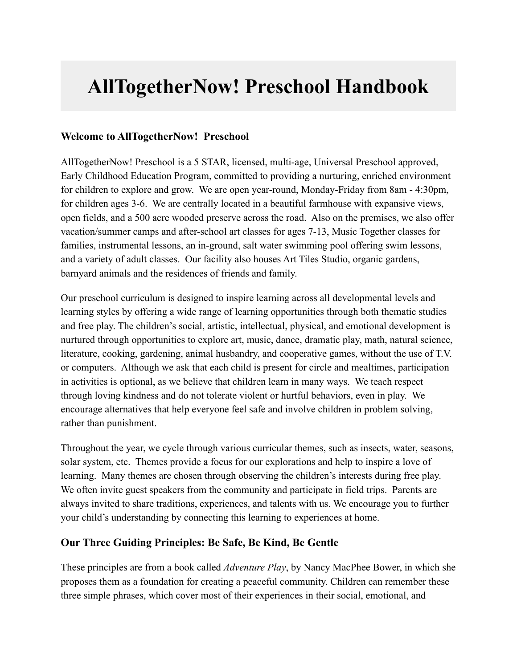# **AllTogetherNow! Preschool Handbook**

# **Welcome to AllTogetherNow! Preschool**

AllTogetherNow! Preschool is a 5 STAR, licensed, multi-age, Universal Preschool approved, Early Childhood Education Program, committed to providing a nurturing, enriched environment for children to explore and grow. We are open year-round, Monday-Friday from 8am - 4:30pm, for children ages 3-6. We are centrally located in a beautiful farmhouse with expansive views, open fields, and a 500 acre wooded preserve across the road. Also on the premises, we also offer vacation/summer camps and after-school art classes for ages 7-13, Music Together classes for families, instrumental lessons, an in-ground, salt water swimming pool offering swim lessons, and a variety of adult classes. Our facility also houses Art Tiles Studio, organic gardens, barnyard animals and the residences of friends and family.

Our preschool curriculum is designed to inspire learning across all developmental levels and learning styles by offering a wide range of learning opportunities through both thematic studies and free play. The children's social, artistic, intellectual, physical, and emotional development is nurtured through opportunities to explore art, music, dance, dramatic play, math, natural science, literature, cooking, gardening, animal husbandry, and cooperative games, without the use of T.V. or computers. Although we ask that each child is present for circle and mealtimes, participation in activities is optional, as we believe that children learn in many ways. We teach respect through loving kindness and do not tolerate violent or hurtful behaviors, even in play. We encourage alternatives that help everyone feel safe and involve children in problem solving, rather than punishment.

Throughout the year, we cycle through various curricular themes, such as insects, water, seasons, solar system, etc. Themes provide a focus for our explorations and help to inspire a love of learning. Many themes are chosen through observing the children's interests during free play. We often invite guest speakers from the community and participate in field trips. Parents are always invited to share traditions, experiences, and talents with us. We encourage you to further your child's understanding by connecting this learning to experiences at home.

#### **Our Three Guiding Principles: Be Safe, Be Kind, Be Gentle**

These principles are from a book called *Adventure Play*, by Nancy MacPhee Bower, in which she proposes them as a foundation for creating a peaceful community. Children can remember these three simple phrases, which cover most of their experiences in their social, emotional, and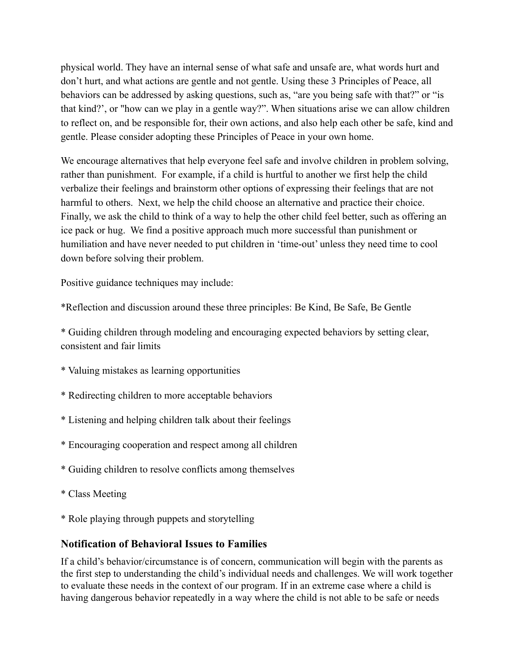physical world. They have an internal sense of what safe and unsafe are, what words hurt and don't hurt, and what actions are gentle and not gentle. Using these 3 Principles of Peace, all behaviors can be addressed by asking questions, such as, "are you being safe with that?" or "is that kind?', or "how can we play in a gentle way?". When situations arise we can allow children to reflect on, and be responsible for, their own actions, and also help each other be safe, kind and gentle. Please consider adopting these Principles of Peace in your own home.

We encourage alternatives that help everyone feel safe and involve children in problem solving, rather than punishment. For example, if a child is hurtful to another we first help the child verbalize their feelings and brainstorm other options of expressing their feelings that are not harmful to others. Next, we help the child choose an alternative and practice their choice. Finally, we ask the child to think of a way to help the other child feel better, such as offering an ice pack or hug. We find a positive approach much more successful than punishment or humiliation and have never needed to put children in 'time-out' unless they need time to cool down before solving their problem.

Positive guidance techniques may include:

\*Reflection and discussion around these three principles: Be Kind, Be Safe, Be Gentle

\* Guiding children through modeling and encouraging expected behaviors by setting clear, consistent and fair limits

- \* Valuing mistakes as learning opportunities
- \* Redirecting children to more acceptable behaviors
- \* Listening and helping children talk about their feelings
- \* Encouraging cooperation and respect among all children
- \* Guiding children to resolve conflicts among themselves
- \* Class Meeting
- \* Role playing through puppets and storytelling

#### **Notification of Behavioral Issues to Families**

If a child's behavior/circumstance is of concern, communication will begin with the parents as the first step to understanding the child's individual needs and challenges. We will work together to evaluate these needs in the context of our program. If in an extreme case where a child is having dangerous behavior repeatedly in a way where the child is not able to be safe or needs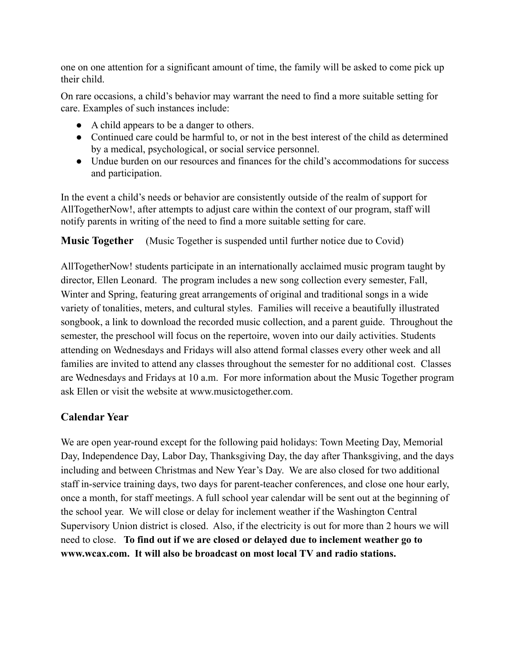one on one attention for a significant amount of time, the family will be asked to come pick up their child.

On rare occasions, a child's behavior may warrant the need to find a more suitable setting for care. Examples of such instances include:

- A child appears to be a danger to others.
- Continued care could be harmful to, or not in the best interest of the child as determined by a medical, psychological, or social service personnel.
- Undue burden on our resources and finances for the child's accommodations for success and participation.

In the event a child's needs or behavior are consistently outside of the realm of support for AllTogetherNow!, after attempts to adjust care within the context of our program, staff will notify parents in writing of the need to find a more suitable setting for care.

**Music Together** (Music Together is suspended until further notice due to Covid)

AllTogetherNow! students participate in an internationally acclaimed music program taught by director, Ellen Leonard. The program includes a new song collection every semester, Fall, Winter and Spring, featuring great arrangements of original and traditional songs in a wide variety of tonalities, meters, and cultural styles. Families will receive a beautifully illustrated songbook, a link to download the recorded music collection, and a parent guide. Throughout the semester, the preschool will focus on the repertoire, woven into our daily activities. Students attending on Wednesdays and Fridays will also attend formal classes every other week and all families are invited to attend any classes throughout the semester for no additional cost. Classes are Wednesdays and Fridays at 10 a.m. For more information about the Music Together program ask Ellen or visit the website at [www.musictogether.com](http://www.musictogether.com/).

# **Calendar Year**

We are open year-round except for the following paid holidays: Town Meeting Day, Memorial Day, Independence Day, Labor Day, Thanksgiving Day, the day after Thanksgiving, and the days including and between Christmas and New Year's Day. We are also closed for two additional staff in-service training days, two days for parent-teacher conferences, and close one hour early, once a month, for staff meetings. A full school year calendar will be sent out at the beginning of the school year. We will close or delay for inclement weather if the Washington Central Supervisory Union district is closed. Also, if the electricity is out for more than 2 hours we will need to close. **To find out if we are closed or delayed due to inclement weather go to [www.wcax.com.](http://www.wcax.com/) It will also be broadcast on most local TV and radio stations.**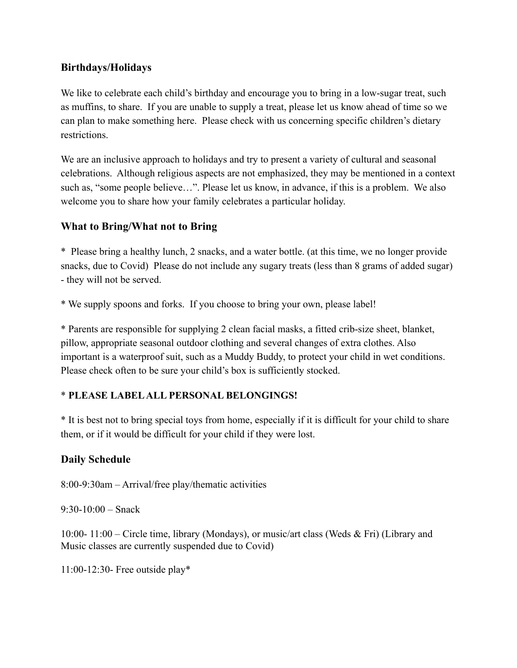### **Birthdays/Holidays**

We like to celebrate each child's birthday and encourage you to bring in a low-sugar treat, such as muffins, to share. If you are unable to supply a treat, please let us know ahead of time so we can plan to make something here. Please check with us concerning specific children's dietary restrictions.

We are an inclusive approach to holidays and try to present a variety of cultural and seasonal celebrations. Although religious aspects are not emphasized, they may be mentioned in a context such as, "some people believe…". Please let us know, in advance, if this is a problem. We also welcome you to share how your family celebrates a particular holiday.

# **What to Bring/What not to Bring**

\* Please bring a healthy lunch, 2 snacks, and a water bottle. (at this time, we no longer provide snacks, due to Covid) Please do not include any sugary treats (less than 8 grams of added sugar) - they will not be served.

\* We supply spoons and forks. If you choose to bring your own, please label!

\* Parents are responsible for supplying 2 clean facial masks, a fitted crib-size sheet, blanket, pillow, appropriate seasonal outdoor clothing and several changes of extra clothes. Also important is a waterproof suit, such as a Muddy Buddy, to protect your child in wet conditions. Please check often to be sure your child's box is sufficiently stocked.

#### \* **PLEASE LABEL ALL PERSONAL BELONGINGS!**

\* It is best not to bring special toys from home, especially if it is difficult for your child to share them, or if it would be difficult for your child if they were lost.

#### **Daily Schedule**

8:00-9:30am – Arrival/free play/thematic activities

 $9:30-10:00$  – Snack

10:00- 11:00 – Circle time, library (Mondays), or music/art class (Weds & Fri) (Library and Music classes are currently suspended due to Covid)

11:00-12:30- Free outside play\*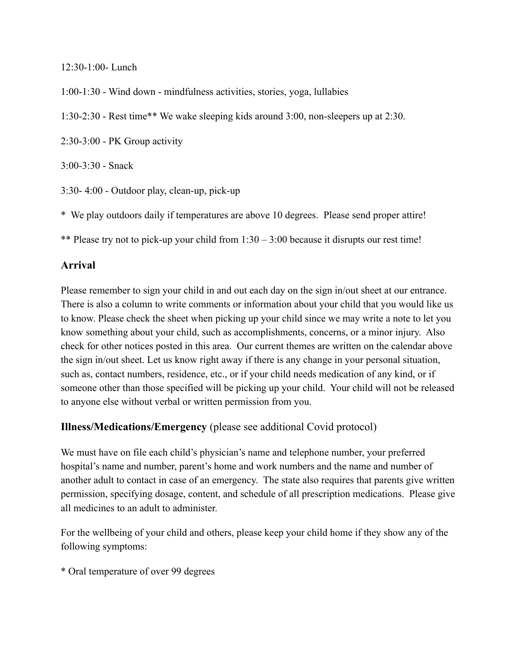12:30-1:00- Lunch

1:00-1:30 - Wind down - mindfulness activities, stories, yoga, lullabies

1:30-2:30 - Rest time\*\* We wake sleeping kids around 3:00, non-sleepers up at 2:30.

2:30-3:00 - PK Group activity

3:00-3:30 - Snack

3:30- 4:00 - Outdoor play, clean-up, pick-up

\* We play outdoors daily if temperatures are above 10 degrees. Please send proper attire!

\*\* Please try not to pick-up your child from 1:30 – 3:00 because it disrupts our rest time!

#### **Arrival**

Please remember to sign your child in and out each day on the sign in/out sheet at our entrance. There is also a column to write comments or information about your child that you would like us to know. Please check the sheet when picking up your child since we may write a note to let you know something about your child, such as accomplishments, concerns, or a minor injury. Also check for other notices posted in this area. Our current themes are written on the calendar above the sign in/out sheet. Let us know right away if there is any change in your personal situation, such as, contact numbers, residence, etc., or if your child needs medication of any kind, or if someone other than those specified will be picking up your child. Your child will not be released to anyone else without verbal or written permission from you.

#### **Illness/Medications/Emergency** (please see additional Covid protocol)

We must have on file each child's physician's name and telephone number, your preferred hospital's name and number, parent's home and work numbers and the name and number of another adult to contact in case of an emergency. The state also requires that parents give written permission, specifying dosage, content, and schedule of all prescription medications. Please give all medicines to an adult to administer.

For the wellbeing of your child and others, please keep your child home if they show any of the following symptoms:

\* Oral temperature of over 99 degrees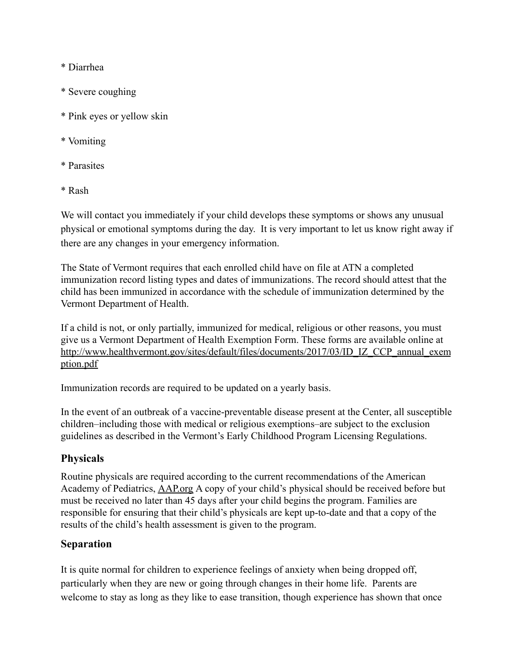\* Diarrhea

- \* Severe coughing
- \* Pink eyes or yellow skin
- \* Vomiting
- \* Parasites
- \* Rash

We will contact you immediately if your child develops these symptoms or shows any unusual physical or emotional symptoms during the day. It is very important to let us know right away if there are any changes in your emergency information.

The State of Vermont requires that each enrolled child have on file at ATN a completed immunization record listing types and dates of immunizations. The record should attest that the child has been immunized in accordance with the schedule of immunization determined by the Vermont Department of Health.

If a child is not, or only partially, immunized for medical, religious or other reasons, you must give us a Vermont Department of Health Exemption Form. These forms are available online at [http://www.healthvermont.gov/sites/default/files/documents/2017/03/ID\\_IZ\\_CCP\\_annual\\_exem](http://www.healthvermont.gov/sites/default/files/documents/2017/03/ID_IZ_CCP_annual_exemption.pdf) [ption.pdf](http://www.healthvermont.gov/sites/default/files/documents/2017/03/ID_IZ_CCP_annual_exemption.pdf)

Immunization records are required to be updated on a yearly basis.

In the event of an outbreak of a vaccine-preventable disease present at the Center, all susceptible children–including those with medical or religious exemptions–are subject to the exclusion guidelines as described in the Vermont's Early Childhood Program Licensing Regulations.

#### **Physicals**

Routine physicals are required according to the current recommendations of the American Academy of Pediatrics, [AAP.org](https://www.aap.org/) A copy of your child's physical should be received before but must be received no later than 45 days after your child begins the program. Families are responsible for ensuring that their child's physicals are kept up-to-date and that a copy of the results of the child's health assessment is given to the program.

#### **Separation**

It is quite normal for children to experience feelings of anxiety when being dropped off, particularly when they are new or going through changes in their home life. Parents are welcome to stay as long as they like to ease transition, though experience has shown that once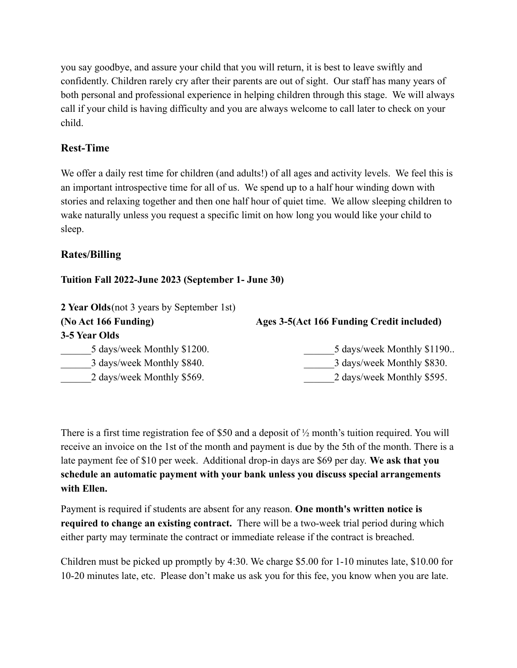you say goodbye, and assure your child that you will return, it is best to leave swiftly and confidently. Children rarely cry after their parents are out of sight. Our staff has many years of both personal and professional experience in helping children through this stage. We will always call if your child is having difficulty and you are always welcome to call later to check on your child.

# **Rest-Time**

We offer a daily rest time for children (and adults!) of all ages and activity levels. We feel this is an important introspective time for all of us. We spend up to a half hour winding down with stories and relaxing together and then one half hour of quiet time. We allow sleeping children to wake naturally unless you request a specific limit on how long you would like your child to sleep.

# **Rates/Billing**

#### **Tuition Fall 2022-June 2023 (September 1- June 30)**

| 2 Year Olds (not 3 years by September 1st) |                                           |  |
|--------------------------------------------|-------------------------------------------|--|
| (No Act 166 Funding)                       | Ages 3-5(Act 166 Funding Credit included) |  |
| 3-5 Year Olds                              |                                           |  |
| 5 days/week Monthly \$1200.                | 5 days/week Monthly \$1190                |  |
| 3 days/week Monthly \$840.                 | 3 days/week Monthly \$830.                |  |
| 2 days/week Monthly \$569.                 | 2 days/week Monthly \$595.                |  |

There is a first time registration fee of \$50 and a deposit of ½ month's tuition required. You will receive an invoice on the 1st of the month and payment is due by the 5th of the month. There is a late payment fee of \$10 per week. Additional drop-in days are \$69 per day. **We ask that you schedule an automatic payment with your bank unless you discuss special arrangements with Ellen.**

Payment is required if students are absent for any reason. **One month's written notice is required to change an existing contract.** There will be a two-week trial period during which either party may terminate the contract or immediate release if the contract is breached.

Children must be picked up promptly by 4:30. We charge \$5.00 for 1-10 minutes late, \$10.00 for 10-20 minutes late, etc. Please don't make us ask you for this fee, you know when you are late.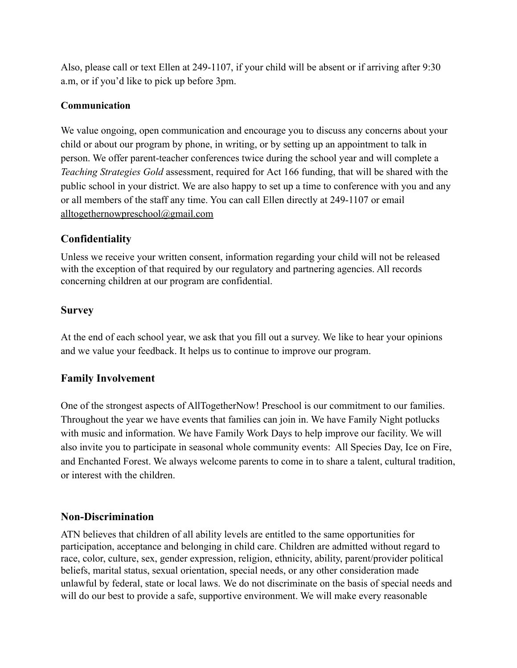Also, please call or text Ellen at 249-1107, if your child will be absent or if arriving after 9:30 a.m, or if you'd like to pick up before 3pm.

#### **Communication**

We value ongoing, open communication and encourage you to discuss any concerns about your child or about our program by phone, in writing, or by setting up an appointment to talk in person. We offer parent-teacher conferences twice during the school year and will complete a *Teaching Strategies Gold* assessment, required for Act 166 funding, that will be shared with the public school in your district. We are also happy to set up a time to conference with you and any or all members of the staff any time. You can call Ellen directly at 249-1107 or email [alltogethernowpreschool@gmail.com](mailto:alltogethernowpreschool@gmail.com)

#### **Confidentiality**

Unless we receive your written consent, information regarding your child will not be released with the exception of that required by our regulatory and partnering agencies. All records concerning children at our program are confidential.

#### **Survey**

At the end of each school year, we ask that you fill out a survey. We like to hear your opinions and we value your feedback. It helps us to continue to improve our program.

# **Family Involvement**

One of the strongest aspects of AllTogetherNow! Preschool is our commitment to our families. Throughout the year we have events that families can join in. We have Family Night potlucks with music and information. We have Family Work Days to help improve our facility. We will also invite you to participate in seasonal whole community events: All Species Day, Ice on Fire, and Enchanted Forest. We always welcome parents to come in to share a talent, cultural tradition, or interest with the children.

#### **Non-Discrimination**

ATN believes that children of all ability levels are entitled to the same opportunities for participation, acceptance and belonging in child care. Children are admitted without regard to race, color, culture, sex, gender expression, religion, ethnicity, ability, parent/provider political beliefs, marital status, sexual orientation, special needs, or any other consideration made unlawful by federal, state or local laws. We do not discriminate on the basis of special needs and will do our best to provide a safe, supportive environment. We will make every reasonable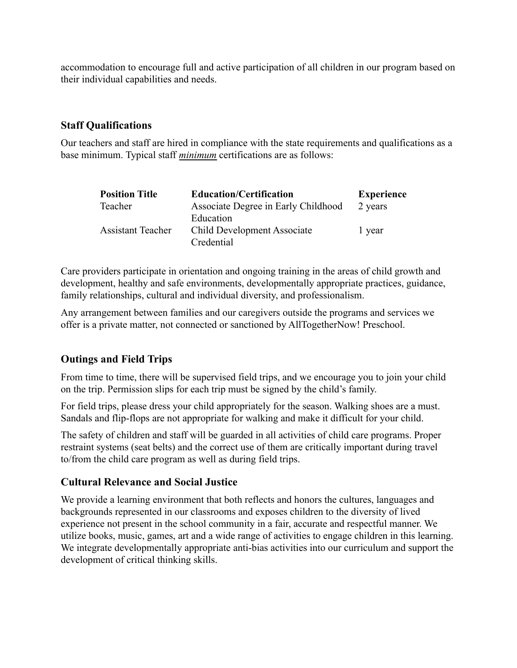accommodation to encourage full and active participation of all children in our program based on their individual capabilities and needs.

#### **Staff Qualifications**

Our teachers and staff are hired in compliance with the state requirements and qualifications as a base minimum. Typical staff *minimum* certifications are as follows:

| <b>Position Title</b>    | <b>Education/Certification</b>      | <b>Experience</b> |
|--------------------------|-------------------------------------|-------------------|
| Teacher                  | Associate Degree in Early Childhood | 2 years           |
|                          | Education                           |                   |
| <b>Assistant Teacher</b> | Child Development Associate         | 1 year            |
|                          | Credential                          |                   |

Care providers participate in orientation and ongoing training in the areas of child growth and development, healthy and safe environments, developmentally appropriate practices, guidance, family relationships, cultural and individual diversity, and professionalism.

Any arrangement between families and our caregivers outside the programs and services we offer is a private matter, not connected or sanctioned by AllTogetherNow! Preschool.

#### **Outings and Field Trips**

From time to time, there will be supervised field trips, and we encourage you to join your child on the trip. Permission slips for each trip must be signed by the child's family.

For field trips, please dress your child appropriately for the season. Walking shoes are a must. Sandals and flip-flops are not appropriate for walking and make it difficult for your child.

The safety of children and staff will be guarded in all activities of child care programs. Proper restraint systems (seat belts) and the correct use of them are critically important during travel to/from the child care program as well as during field trips.

#### **Cultural Relevance and Social Justice**

We provide a learning environment that both reflects and honors the cultures, languages and backgrounds represented in our classrooms and exposes children to the diversity of lived experience not present in the school community in a fair, accurate and respectful manner. We utilize books, music, games, art and a wide range of activities to engage children in this learning. We integrate developmentally appropriate anti-bias activities into our curriculum and support the development of critical thinking skills.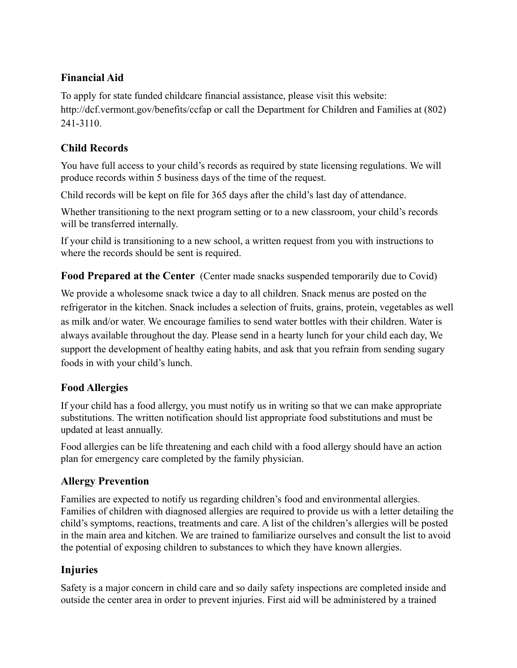# **Financial Aid**

To apply for state funded childcare financial assistance, please visit this website: http://dcf.vermont.gov/benefits/ccfap or call the Department for Children and Families at (802) 241-3110.

# **Child Records**

You have full access to your child's records as required by state licensing regulations. We will produce records within 5 business days of the time of the request.

Child records will be kept on file for 365 days after the child's last day of attendance.

Whether transitioning to the next program setting or to a new classroom, your child's records will be transferred internally.

If your child is transitioning to a new school, a written request from you with instructions to where the records should be sent is required.

**Food Prepared at the Center** (Center made snacks suspended temporarily due to Covid)

We provide a wholesome snack twice a day to all children. Snack menus are posted on the refrigerator in the kitchen. Snack includes a selection of fruits, grains, protein, vegetables as well as milk and/or water. We encourage families to send water bottles with their children. Water is always available throughout the day. Please send in a hearty lunch for your child each day, We support the development of healthy eating habits, and ask that you refrain from sending sugary foods in with your child's lunch.

# **Food Allergies**

If your child has a food allergy, you must notify us in writing so that we can make appropriate substitutions. The written notification should list appropriate food substitutions and must be updated at least annually.

Food allergies can be life threatening and each child with a food allergy should have an action plan for emergency care completed by the family physician.

# **Allergy Prevention**

Families are expected to notify us regarding children's food and environmental allergies. Families of children with diagnosed allergies are required to provide us with a letter detailing the child's symptoms, reactions, treatments and care. A list of the children's allergies will be posted in the main area and kitchen. We are trained to familiarize ourselves and consult the list to avoid the potential of exposing children to substances to which they have known allergies.

# **Injuries**

Safety is a major concern in child care and so daily safety inspections are completed inside and outside the center area in order to prevent injuries. First aid will be administered by a trained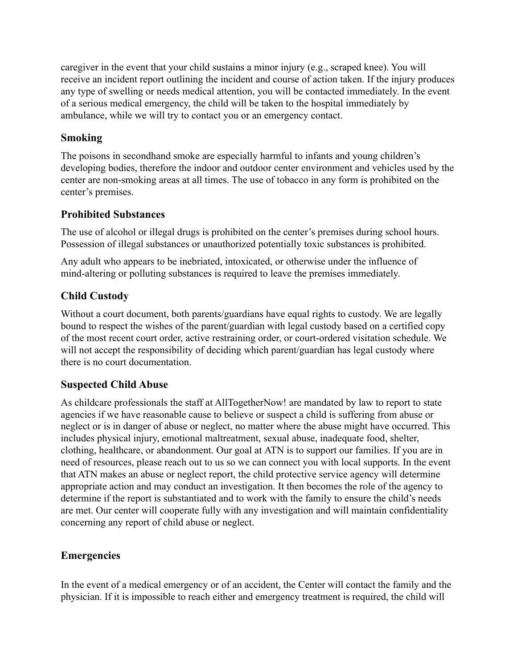caregiver in the event that your child sustains a minor injury (e.g., scraped knee). You will receive an incident report outlining the incident and course of action taken. If the injury produces any type of swelling or needs medical attention, you will be contacted immediately. In the event of a serious medical emergency, the child will be taken to the hospital immediately by ambulance, while we will try to contact you or an emergency contact.

### **Smoking**

The poisons in secondhand smoke are especially harmful to infants and young children's developing bodies, therefore the indoor and outdoor center environment and vehicles used by the center are non-smoking areas at all times. The use of tobacco in any form is prohibited on the center's premises.

# **Prohibited Substances**

The use of alcohol or illegal drugs is prohibited on the center's premises during school hours. Possession of illegal substances or unauthorized potentially toxic substances is prohibited.

Any adult who appears to be inebriated, intoxicated, or otherwise under the influence of mind-altering or polluting substances is required to leave the premises immediately.

# **Child Custody**

Without a court document, both parents/guardians have equal rights to custody. We are legally bound to respect the wishes of the parent/guardian with legal custody based on a certified copy of the most recent court order, active restraining order, or court-ordered visitation schedule. We will not accept the responsibility of deciding which parent/guardian has legal custody where there is no court documentation.

#### **Suspected Child Abuse**

As childcare professionals the staff at AllTogetherNow! are mandated by law to report to state agencies if we have reasonable cause to believe or suspect a child is suffering from abuse or neglect or is in danger of abuse or neglect, no matter where the abuse might have occurred. This includes physical injury, emotional maltreatment, sexual abuse, inadequate food, shelter, clothing, healthcare, or abandonment. Our goal at ATN is to support our families. If you are in need of resources, please reach out to us so we can connect you with local supports. In the event that ATN makes an abuse or neglect report, the child protective service agency will determine appropriate action and may conduct an investigation. It then becomes the role of the agency to determine if the report is substantiated and to work with the family to ensure the child's needs are met. Our center will cooperate fully with any investigation and will maintain confidentiality concerning any report of child abuse or neglect.

# **Emergencies**

In the event of a medical emergency or of an accident, the Center will contact the family and the physician. If it is impossible to reach either and emergency treatment is required, the child will